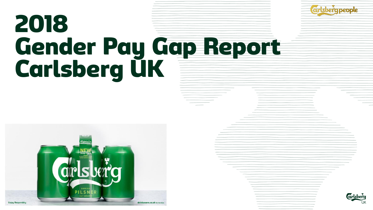



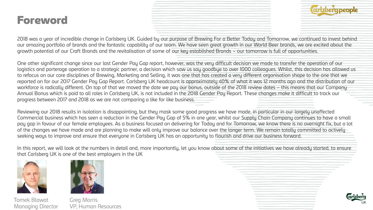## Foreword



2018 was a year of incredible change in Carlsberg UK. Guided by our purpose of Brewing For a Better Today and Tomorrow, we continued to invest behind our amazing portfolio of brands and the fantastic capability of our team. We have seen great growth in our World Beer brands, we are excited about the growth potential of our Craft Brands and the revitalisation of some of our key established Brands – our tomorrow is full of opportunities.

One other significant change since our last Gender Pay Gap report, however, was the very difficult decision we made to transfer the operation of our logistics and porterage operation to a strategic partner, a decision which saw us say goodbye to over 1000 colleagues. Whilst, this decision has allowed us to refocus on our core disciplines of Brewing, Marketing and Selling, it was one that has created a very different organisation shape to the one that we reported on for our 2017 Gender Pay Gap Report. Carlsberg UK headcount is approximately 40% of what it was 12 months ago and the distribution of our workforce is radically different. On top of that we moved the date we pay our bonus, outside of the 2018 review dates – this means that our Company Annual Bonus which is paid to all roles in Carlsberg UK, is not included in the 2018 Gender Pay Report. These changes make it difficult to track our progress between 2017 and 2018 as we are not comparing a like for like business.

Reviewing our 2018 results in isolation is disappointing, but they mask some good progress we have made, in particular in our largely unaffected Commercial business which has seen a reduction in the Gender Pay Gap of 5% in one year, whilst our Supply Chain Company continues to have a small pay gap in favour of our female employees. As a business focused on delivering for Today and for Tomorrow, we know there is no overnight fix, but a lot of the changes we have made and are planning to make will only improve our balance over the longer term. We remain totally committed to actively seeking ways to improve and ensure that everyone in Carlsberg UK has an opportunity to flourish and drive our business forward.

In this report, we will look at the numbers in detail and, more importantly, let you know about some of the initiatives we have already started, to ensure that Carlsberg UK is one of the best employers in the UK



Tomek Blawat Greg Morris



Managing Director VP, Human Resources

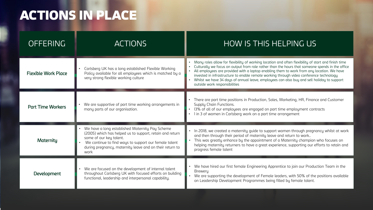## ACTIONS IN PLACE

| <b>OFFERING</b>            | <b>ACTIONS</b>                                                                                                                                                                                                                                                      | HOW IS THIS HELPING US                                                                                                                                                                                                                                                                                                                                                                                                                                                                                                          |  |  |
|----------------------------|---------------------------------------------------------------------------------------------------------------------------------------------------------------------------------------------------------------------------------------------------------------------|---------------------------------------------------------------------------------------------------------------------------------------------------------------------------------------------------------------------------------------------------------------------------------------------------------------------------------------------------------------------------------------------------------------------------------------------------------------------------------------------------------------------------------|--|--|
| <b>Flexible Work Place</b> | Carlsberg UK has a long established Flexible Working<br>Policy available for all employees which is matched by a<br>very strong flexible working culture                                                                                                            | • Many roles allow for flexibility of working location and often flexibility of start and finish time<br>Culturally we focus on output from role rather than the hours that someone spends in the office<br>All employees are provided with a laptop enabling them to work from any location. We have<br>invested in infrastructure to enable remote working through video conference technology<br>Whilst we have 34 days of annual leave, employees can also buy and sell holiday to support<br>outside work responsibilities |  |  |
| <b>Part Time Workers</b>   | We are supportive of part time working arrangements in<br>many parts of our organisation.                                                                                                                                                                           | There are part time positions in Production, Sales, Marketing, HR, Finance and Customer<br>Supply Chain Functions.<br>13% of all of our employees are engaged on part time employment contracts<br>I in 3 of women in Carlsberg work on a part time arrangement                                                                                                                                                                                                                                                                 |  |  |
| Maternity                  | We have a long established Maternity Pay Scheme<br>(2005) which has helped us to support, retain and return<br>some of our key talent.<br>We continue to find ways to support our female talent<br>during pregnancy, maternity leave and on their return to<br>work | • In 2018, we created a maternity guide to support women through pregnancy whilst at work<br>and then through their period of maternity leave and return to work<br>• This was greatly enhance by the appointment of a Maternity champion who focuses on<br>helping maternity returners to have a great experience, supporting our efforts to retain and<br>progress female talent                                                                                                                                              |  |  |
| <b>Development</b>         | We are focused on the development of internal talent<br>throughout Carlsberg UK with focused efforts on building<br>functional, leadership and interpersonal capability.                                                                                            | • We have hired our first female Engineering Apprentice to join our Production Team in the<br><b>Breweru</b><br>We are supporting the development of Female leaders, with 50% of the positions available<br>on Leadership Development Programmes being filled by female talent.                                                                                                                                                                                                                                                 |  |  |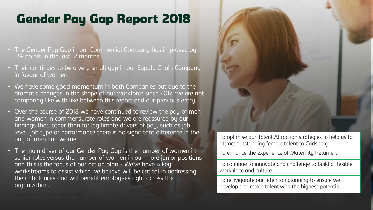## Gender Pay Gap Report 2018

- The Gender Pay Gap in our Commercial Company has improved by 5% points in the last 12 months
- Their continues to be a very small gap in our Supply Chain Company in favour of women.
- We have some good momentum in both Companies but due to the dramatic changes in the shape of our workforce since 2017, we are not comparing like with like between this report and our previous entry.
- Over the course of 2018 we have continued to review the pay of men and women in commensurate roles and we are reassured by our findings that, other than for legitimate drivers of pay, such as job level, job type or performance there is no significant difference in the pay of men and women
- The main driver of our Gender Pay Gap is the number of women in senior roles versus the number of women in our more junior positions and this is the focus of our action plan - We've have 4 key workstreams to assist which we believe will be critical in addressing the imbalances and will benefit employees right across the organization.



To optimise our Talent Attraction strategies to help us to attract outstanding female talent to Carlsberg

To enhance the experience of Maternity Returners

To continue to innovate and challenge to build a flexible workplace and culture

To reinvigorate our retention planning to ensure we develop and retain talent with the highest potential